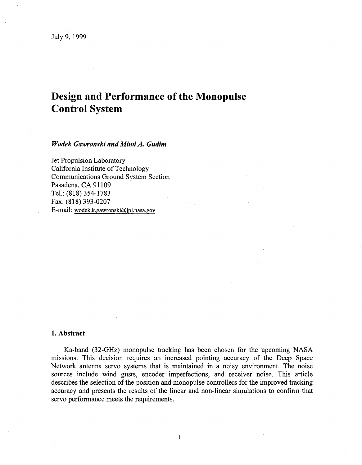# **Design and Performance of the Monopulse Control System**

*Wodek Gawronski and Mimi A. Gudim* 

Jet Propulsion Laboratory California Institute of Technology Communications Ground System Section Pasadena, CA 91109 Tel.: (818) 354-1783 E-mail: **[wodek.k.gawronski@jpl.nasa.go](mailto:wodek.k.gawronski@jpl.nasa.gov)v**  Fax: (818) 393-0207

## **1. Abstract**

Ka-band (32-GHz) monopulse tracking has been chosen for the upcoming NASA missions. This decision requires an increased pointing accuracy of the Deep Space Network antenna servo systems that is maintained in a noisy environment. The noise sources include wind gusts, encoder imperfections, and receiver noise. This article describes the selection of the position and monopulse controllers for the improved tracking accuracy and presents the results of the linear and non-linear simulations to confirm that servo performance meets the requirements.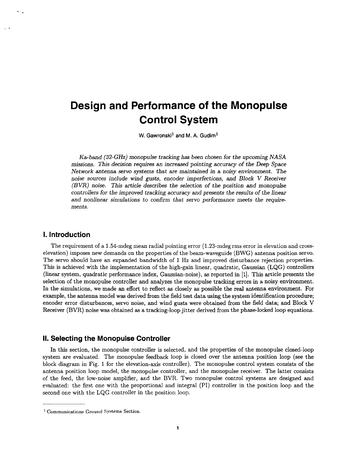# **Design and Performance of the Monopulse Control System**

**W. Gawronski' and** M. **A. Gudim'** 

Ka-band *(32-GHz)* monopulse tracking has been chosen for the upcoming **NASA**  missions. This decision requires an increased pointing accuracy of the Deep Space Network antenna servo systems that are maintained in a noisy environment. The noise sources include wind gusts, encoder imperfections, and Block V Receiver (BVR) noise. This article describes the selection of the position *and* monopube controllers for the improved tracking accuracy and presents the results of the linear and nonlinear simulations to confirm that servo performance meets the requirements.

### **1. Introduction**

..

The requirement of a 1.54-mdeg mean radial pointing error (1.23-mdeg rms error in elevation and crosselevation) imposes new demands on the properties of the beam-waveguide (BWG) antenna position servo. The servo should have an expanded bandwidth of 1 Hz and improved disturbance rejection properties. This is achieved with the implementation of the high-gain linear, quadratic, Gaussian (LQG) controllers (linear system, quadratic performance index, Gaussian-noise), as reported in [l]. This article presents the selection of the monopulse controller and analyzes the monopulse tracking errors in a noisy environment. In the simulations, we made an effort to reflect as closely as possible the real antenna environment. For example, the antenna model was derived from the field test data using the system identification procedure; encoder error disturbances, servo noise, and wind gusts were obtained from the field data; and Block V Receiver (BVR) noise was obtained as a tracking-loop jitter derived from the phase-locked loop equations.

### **II. Selecting the Monopulse Controller**

In this section, the monopulse controller is selected, and the properties of the monopulse closed-loop system are evaluated. The monopulse feedback loop is closed over the antenna position loop (see the block diagram in [Fig. 1](#page-2-0) for the elevation-axis controller). The monopulse control system consists of the antenna position loop model, the monopulse controller, and the monopulse receiver. The latter consists of the feed, the low-noise amplifier, and the BVR. Two monopulse control systems are designed and evaluated: the first one with the proportional and integral (PI) controller in the position loop and the second one with the LQG controller in the position loop.

<sup>&</sup>lt;sup>1</sup> Communications Ground Systems Section.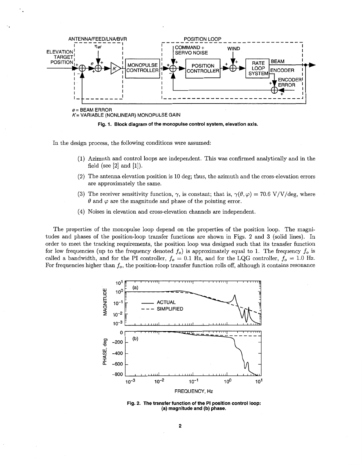<span id="page-2-0"></span>

In the design process, the following conditions were assumed:

- (1) Azimuth and control loops are independent. This was confirmed analytically and in the field (see  $[2]$  and  $[1]$ ).
- (2) The antenna elevation position is 10 deg; thus, the azimuth and the cross-elevation errors are approximately the same.
- (3) The receiver sensitivity function,  $\gamma$ , is constant; that is,  $\gamma(\theta, \varphi) = 70.6 \text{ V/V/deg}$ , where  $\theta$  and  $\varphi$  are the magnitude and phase of the pointing error.
- (4) Noises in elevation and cross-elevation channels are independent.

The properties of the monopulse loop depend on the properties of the position loop. The magnitudes and phases of the position-loop transfer functions are shown in Figs. 2 and 3 (solid lines). In order to meet the tracking requirements, the position loop was designed such that its transfer function for low frequencies (up to the frequency denoted  $f_o$ ) is approximately equal to 1. The frequency  $f_o$  is called a bandwidth, and for the PI controller,  $f_o = 0.1$  Hz, and for the LQG controller,  $f_o = 1.0$  Hz. For frequencies higher than  $f_o$ , the position-loop transfer function rolls off, although it contains resonance



Fig. 2. The transfer function of the PI position control loop: (a) magnitude and (b) phase.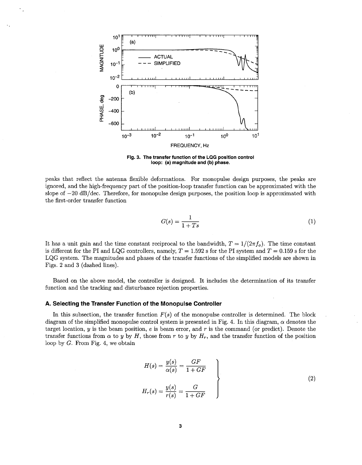

**Fig. 3. The transfer function of the LQG position control loop: (a) magnitude and (b) phase.** 

peaks that reflect the antenna flexible deformations. For monopulse design purposes, the peaks are ignored, and the high-frequency part of the position-loop transfer function can be approximated with the slope of  $-20$  dB/dec. Therefore, for monopulse design purposes, the position loop is approximated with the first-order transfer function rmations. For monopy<br>
osition-loop transfer full<br>
lse design purposes, the<br>  $G(s) = \frac{1}{1+Ts}$ 

$$
G(s) = \frac{1}{1+Ts} \tag{1}
$$

It has a unit gain and the time constant reciprocal to the bandwidth,  $T = 1/(2\pi f_o)$ . The time constant is different for the PI and LQG controllers, namely,  $T = 1.592$  s for the PI system and  $T = 0.159$  s for the LQG system. The magnitudes and phases of the transfer functions of the simplified models are shown in [Figs.](#page-2-0) **2** and **3** (dashed lines).

Based on the above model, the controller is designed. It includes the determination of its transfer function and the tracking and disturbance rejection properties.

#### **A. Selecting the Transfer Function of the Monopulse Controller**

In this subsection, the transfer function  $F(s)$  of the monopulse controller is determined. The block diagram of the simplified monopulse control system is presented in [Fig.](#page-4-0) 4. In this diagram,  $\alpha$  denotes the target location, y is the beam position, e is beam error, and *r* is the command (or predict). Denote the transfer functions from  $\alpha$  to y by *H*, those from *r* to y by  $H_r$ , and the transfer function of the position loop by G. From Fig. **4,** we obtain

$$
H(s) = \frac{y(s)}{\alpha(s)} = \frac{GF}{1 + GF}
$$
  

$$
H_r(s) = \frac{y(s)}{r(s)} = \frac{G}{1 + GF}
$$
 (2)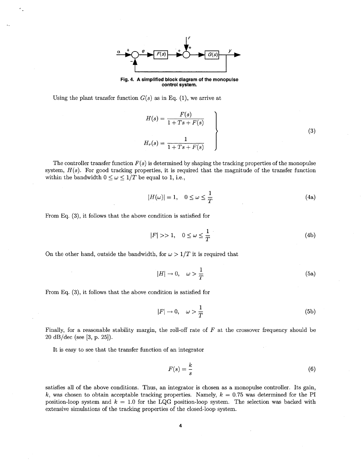

**Fig. 4. A simplified block diagram of the monopulse control system.** 

<span id="page-4-0"></span>Using the plant transfer function  $G(s)$  as in Eq. (1), we arrive at

$$
H(s) = \frac{F(s)}{1 + Ts + F(s)}
$$
  
\n
$$
H_r(s) = \frac{1}{1 + Ts + F(s)}
$$
\n(3)

The controller transfer function  $F(s)$  is determined by shaping the tracking properties of the monopulse system,  $H(s)$ . For good tracking properties, it is required that the magnitude of the transfer function within the bandwidth  $0 \leq \omega \leq 1/T$  be equal to 1, i.e.,

$$
|H(\omega)| = 1, \quad 0 \le \omega \le \frac{1}{T}
$$
 (4a)

Erom Eq. **(3),** it follows that the above condition is satisfied for

$$
|F| >> 1, \quad 0 \le \omega \le \frac{1}{T} \tag{4b}
$$

On the other hand, outside the bandwidth, for  $\omega > 1/T$  it is required that

$$
|H| \to 0, \quad \omega > \frac{1}{T} \tag{5a}
$$

From Eq. **(3),** it follows that the above condition is satisfied for

$$
|F| \to 0, \quad \omega > \frac{1}{T} \tag{5b}
$$

Finally, for a reasonable stability margin, the roll-off rate of *F* at the crossover frequency should be 20 dB/dec (see **[3,** p. 251).

It is easy to see that the transfer function of an integrator

$$
F(s) = \frac{k}{s} \tag{6}
$$

satisfies all of the above conditions. Thus, an integrator is chosen as a monopulse controller. Its gain,  $k$ , was chosen to obtain acceptable tracking properties. Namely,  $k = 0.75$  was determined for the PI position-loop system and  $k = 1.0$  for the LQG position-loop system. The selection was backed with extensive simulations of the tracking properties of the closed-loop system.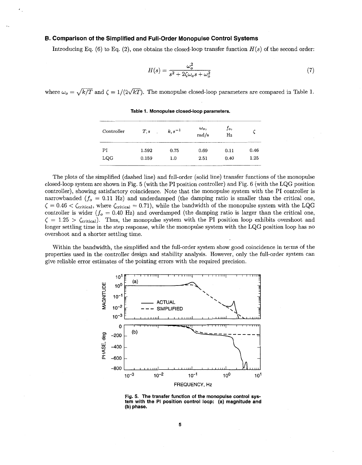#### <span id="page-5-0"></span>**B. Comparison of the Simplified and Full-Order Monopulse Control Systems**

Introducing Eq.  $(6)$  to Eq.  $(2)$ , one obtains the closed-loop transfer function  $H(s)$  of the second order:

$$
H(s) = \frac{\omega_o^2}{s^2 + 2\zeta\omega_o s + \omega_o^2}
$$
\n<sup>(7)</sup>

where  $\omega_o = \sqrt{k/T}$  and  $\zeta = 1/(2\sqrt{kT})$ . The monopulse closed-loop parameters are compared in Table 1.

| Controller | T, s  | $k, s^{-1}$ | $\omega_o,$<br>rad/s | fo,<br>Hz |      |
|------------|-------|-------------|----------------------|-----------|------|
| РI         | 1.592 | 0.75        | 0.69                 | 0.11      | 0.46 |
| LQG        | 0.159 | $1.0\,$     | 2.51                 | 0.40      | 1.25 |

**Table 1. Monopulse closed-loop parameters.** 

The plots of the simplified (dashed line) and full-order (solid line) transfer functions of the monopulse closed-loop system are shown in Fig. **5** (with the PI position controller) and [Fig. 6](#page-6-0) (with the LQG position controller), showing satisfactory coincidence. Note that the monopulse system with the PI controller is narrowbanded  $(f<sub>o</sub> = 0.11 Hz)$  and underdamped (the damping ratio is smaller than the critical one,  $\zeta = 0.46 < \zeta_{\text{critical}}$ , where  $\zeta_{\text{critical}} = 0.71$ , while the bandwidth of the monopulse system with the LQG controller is wider  $(f_o = 0.40 \text{ Hz})$  and overdamped (the damping ratio is larger than the critical one,  $\zeta = 1.25 > \zeta_{\text{critical}}$ ). Thus, the monopulse system with the PI position loop exhibits overshoot and longer settling time in the step response, while the monopulse system with the LQG position loop has no overshoot and a shorter settling time.

Within the bandwidth, the simplified and the full-order system show good coincidence in terms of the properties used in the controller design and stability analysis. However, only the full-order system can give reliable error estimates of the pointing errors with the required precision.



**Fig. 5. The transfer function of the monopulse control system with the PI position control loop: (a) magnitude and (b) phase.**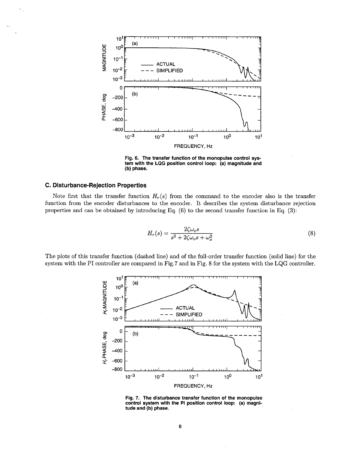<span id="page-6-0"></span>

Fig. 6. The transfer function of the monopulse control system with the LQG position control loop: (a) magnitude and (b) phase.

#### C. Disturbance-Rejection Properties

Note first that the transfer function  $H_r(s)$  from the command to the encoder also is the transfer function from the encoder disturbances to the encoder. It describes the system disturbance rejection properties and can be obtained by introducing Eq.  $(6)$  to the second transfer function in Eq.  $(3)$ :

$$
H_r(s) = \frac{2\zeta\omega_o s}{s^2 + 2\zeta\omega_o s + \omega_o^2} \tag{8}
$$

The plots of this transfer function (dashed line) and of the full-order transfer function (solid line) for the system with the PI controller are compared in Fig.7 and in Fig. 8 for the system with the LQG controller.



Fig. 7. The disturbance transfer function of the monopulse control system with the PI position control loop: (a) magnitude and (b) phase.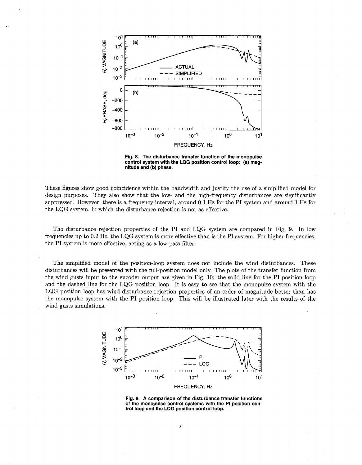<span id="page-7-0"></span>

**Fig. 8. The disturbance transfer function of the monopulse control system with the LQG position control loop: (a) magnitude and (b) phase.** 

These figures show good coincidence within the bandwidth and justify the use of a simplified model for design purposes. They also show that the low- and the high-frequency disturbances are significantly suppressed. However, there is a frequency interval, around 0.1 Hz for the PI system and around 1 Hz for the LQG system, in which the disturbance rejection is not as effective.

The disturbance rejection properties of the PI and LQG system are compared in Fig. 9. In low frequencies up to 0.2 **Hz,** the LQG system is more effective than is the PI system. For higher frequencies, the PI system is more effective, acting as a low-pass filter.

The simplified model of the position-loop system does not include the wind disturbances. These disturbances will be presented with the full-position model only. The plots of the transfer function from the wind gusts input to the encoder output are given in [Fig. 10:](#page-8-0) the solid line for the PI position loop and the dashed line for the LQG position loop. It is easy to see that the monopulse system with the LQG position loop has wind-disturbance rejection properties of an order of magnitude better than has the monopulse system with the PI position loop. This will be illustrated later with the results of the wind gusts simulations.



**Fig. 9. A comparison of the disturbance transfer functions of the monopulse control systems with the PI position control loop and the LQG position control loop.**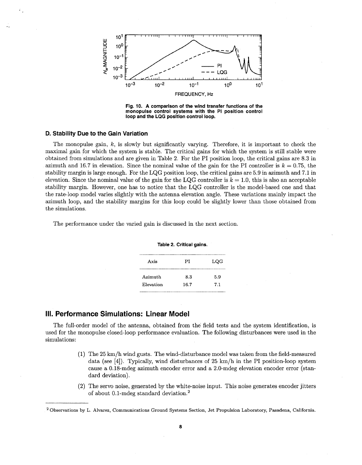<span id="page-8-0"></span>

**Fig. 10. A comparison of the wind transfer functions of the monopulse control systems with the PI position control loop and the LQG position control loop.** 

#### **D. Stability Due to the Gain Variation**

The monopulse gain, *k,* is slowly but significantly varying. Therefore, it is important to check the maximal gain for which the system is stable. The critical gains for which the system is still stable were obtained from simulations and are given in Table 2. For the PI position loop, the critical gains are **8.3** in azimuth and 16.7 in elevation. Since the nominal value of the gain for the PI controller is  $k = 0.75$ , the stability margin is large enough. For the LQG position loop, the critical gains are 5.9 in azimuth and 7.1 in elevation. Since the nominal value of the gain for the LQG controller is  $k = 1.0$ , this is also an acceptable stability margin. However, one has to notice that the LQG controller is the model-based one and that the rate-loop model varies slightly with the antenna elevation angle. These variations mainly impact the azimuth loop, and the stability margins for this loop could be slightly lower than those obtained from the simulations.

The performance under the varied gain is discussed in the next section.

| Axis      | РI   | LQG |
|-----------|------|-----|
| Azimuth   | 8.3  | 5.9 |
| Elevation | 16.7 | 7.1 |
|           |      |     |

#### **Table 2. Critical gains.**

## **111. Performance Simulations: Linear Model**

The full-order model of the antenna, obtained from the field tests and the system identification, is used for the monopulse closed-loop performance evaluation. The following disturbances were used in the simulations:

- (1) The 25 km/h wind gusts. The wind-disturbance model was taken from the field-measured data (see [4]). Typically, wind disturbances of 25 km/h in the PI position-loop system cause a 0.18-mdeg azimuth encoder error and a 2.0-mdeg elevation encoder error (standard deviation).
- (2) The servo noise, generated by the white-noise input. This noise generates encoder jitters of about 0.1-mdeg standard deviation.2

Observations by L. Alvarez, Communications Ground Systems Section, Jet Propulsion Laboratory, Pasadena, California.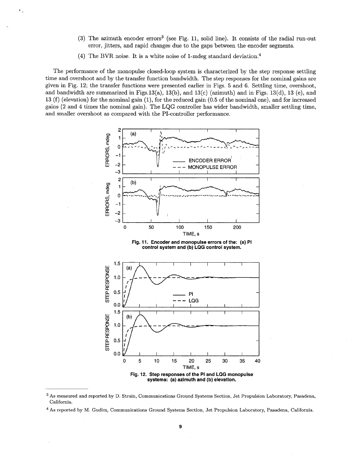- (3) The azimuth encoder errors3 (see Fig. 11, solid line). It consists of the radial run-out error, jitters, and rapid changes due to the gaps between the encoder segments.
- (4) The BVR noise. It is a white noise of 1-mdeg standard deviation.<sup>4</sup>

The performance of the monopulse closed-loop system is characterized by the step response settling time and overshoot and by the transfer function bandwidth. The step responses for the nominal gains are given in Fig. 12; the transfer functions were presented earlier in [Figs. 5](#page-5-0) and 6. Settling time, overshoot, and bandwidth are summarized in Figs. 13(a), 13(b), and 13(c) (azimuth) and in Figs. 13(d), 13 (e), and 13 (f) (elevation) for the nominal gain (l), for the reduced gain (0.5 of the nominal one), and for increased gains (2 and 4 times the nominal gain). The LQG controller has wider bandwidth, smaller settling time, and smaller overshoot as compared with the PI-controller performance.



**Fig. 11. Encoder and monopulse errors of the: (a) PI control system and (b) LQG control system.** 



**As** measured and reported by D. Strain, Communications Ground Systems Section, Jet Propulsion Laboratory, Pasadena, California.

<sup>\*</sup> **As** reported by M. Gudim, Communications Ground Systems Section, Jet Propulsion Laboratory, Pasadena, California.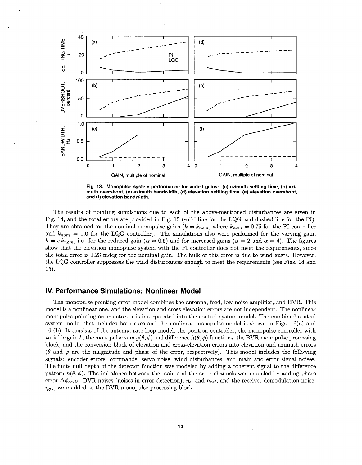

<span id="page-10-0"></span>**Fig. 13. Monopulse system performance for varied gains: (a) azimuth settling time, (b) azimuth overshoot, (c) azimuth bandwidth, (d) elevation settling time, (e) elevation overshoot, and (f) elevation bandwidth.** 

The results of pointing simulations due to each of the above-mentioned disturbances are given in [Fig. 14,](#page-11-0) and the total errors are provided in Fig. 15 (solid line for the LQG and dashed line for the PI). They are obtained for the nominal monopulse gains  $(k = k_{nom},$  where  $k_{nom} = 0.75$  for the PI controller and  $k_{nom} = 1.0$  for the LQG controller). The simulations also were performed for the varying gain,  $k = \alpha k_{nom}$ , i.e. for the reduced gain  $(\alpha = 0.5)$  and for increased gains  $(\alpha = 2 \text{ and } \alpha = 4)$ . The figures show that the elevation monopulse system with the PI controller does not meet the requirements, since the total error is 1.23 mdeg for the nominal gain. The bulk of this error is due to wind gusts. However, the LQG controller suppresses the wind disturbances enough to meet the requirements (see [Figs. 14](#page-11-0) and 15).

# **IV. Performance Simulations: Nonlinear Model**

The monopulse pointing-error model combines the antenna, feed, low-noise amplifier, and BVR. This model is a nonlinear one, and the elevation and cross-elevation errors are not independent. The nonlinear monopulse pointing-error detector is incorporated into the control system model. The combined control system model that includes both axes and the nonlinear monopulse model is shown in Figs. 16(a) and 16 (b). It consists of the antenna rate loop model, the position controller, the monopulse controller with variable gain k, the monopulse sum  $g(\theta, \phi)$  and difference  $h(\theta, \phi)$  functions, the BVR monopulse processing block, and the conversion block of elevation and cross-elevation errors into elevation and azimuth errors ( $\theta$  and  $\varphi$  are the magnitude and phase of the error, respectively). This model includes the following signals: encoder errors, commands, servo noise, wind disturbances, and main and error signal noises. The finite null depth of the detector function was modeled by adding a coherent signal to the difference pattern  $h(\theta, \phi)$ . The imbalance between the main and the error channels was modeled by adding phase error  $\Delta\phi_{calib}$ . BVR noises (noises in error detection),  $\eta_{el}$  and  $\eta_{rel}$ , and the receiver demodulation noise,  $\eta_{\phi_c}$ , were added to the BVR monopulse processing block.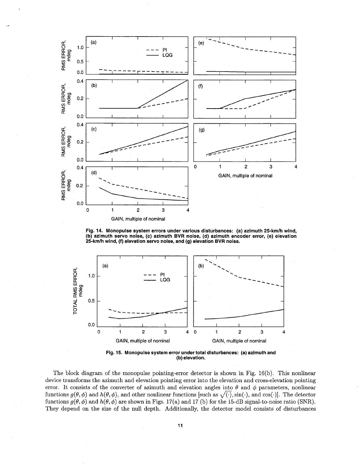<span id="page-11-0"></span>

Fig. 14. Monopulse system errors under various disturbances: (a) azimuth 25-km/h wind, **(b) azimuth servo noise, (c) azimuth BVR noise, (d) azimuth encoder error, (e) elevation 25-kmh wind, (f) elevation servo noise, and (9) elevation BVR noise.** 



**Fig. 15. Monopulse system error under total disturbances: (a) azimuth and (b) elevation.** 

The block diagram of the monopulse pointing-error detector is shown in Fig. 16(b). This nonlinear device transforms the azimuth and elevation pointing error into the elevation and cross-elevation pointing error. It consists of the converter of azimuth and elevation angles into  $\theta$  and  $\phi$  parameters, nonlinear functions  $g(\theta, \phi)$  and  $h(\theta, \phi)$ , and other nonlinear functions [such as  $\sqrt{(\cdot)}$ , sin( $\cdot$ ), and cos( $\cdot$ )]. The detector functions  $g(\theta, \phi)$  and  $h(\theta, \phi)$  are shown in Figs. 17(a) and 17 (b) for the 15-dB signal-to-noise ratio (SNR). They depend on the size of the null depth. Additionally, the detector model consists of disturbances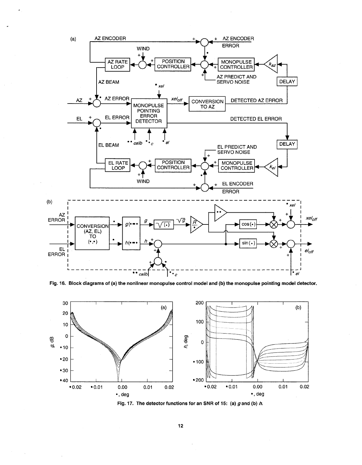<span id="page-12-0"></span>

Fig. 16. Block diagrams of (a) the nonlinear monopulse control model and (b) the monopulse pointing model detector.



Fig. 17. The detector functions for an SNR of 15: (a)  $g$  and (b)  $h$ .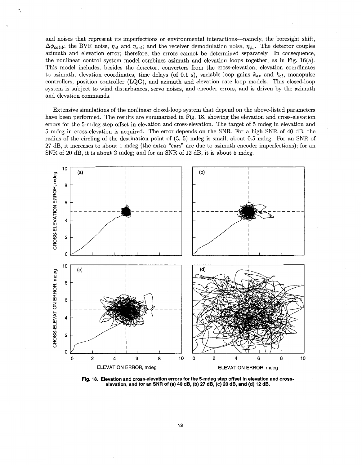and noises that represent its imperfections or environmental interactions-namely, the boresight shift,  $\Delta\phi_{calib}$ ; the BVR noise,  $\eta_{el}$  and  $\eta_{rel}$ ; and the receiver demodulation noise,  $\eta_{\phi}$ . The detector couples azimuth and elevation error; therefore, the errors cannot be determined separately. In consequence, the nonlinear control system model combines azimuth and elevation loops together, as in Fig. 16(a). This model includes, besides the detector, converters from the cross-elevation, elevation coordinates to azimuth, elevation coordinates, time delays (of 0.1 s), variable loop gains  $k_{az}$  and  $k_{el}$ , monopulse controllers, position controller (LQG), and azimuth and elevation rate loop models. This closed-loop system is subject to wind disturbances, servo noises, and encoder errors, and is driven by the azimuth and elevation commands.

,

Extensive simulations of the nonlinear closed-loop system that depend on the above-listed parameters have been performed. The results are summarized in Fig. 18, showing the elevation and cross-elevation errors for the 5-mdeg step offset in elevation and cross-elevation. The target of 5 mdeg in elevation and 5 mdeg in cross-elevation is acquired. The error depends on the SNR. For a high SNR of 40 dB, the radius of the circling of the destination point of (5, 5) mdeg is small, about 0.5 mdeg. For an SNR of 27 dB, it increases to about 1 mdeg (the extra "ears" are due to azimuth encoder imperfections); for an SNR of 20 dB, it is about **2** [mdeg; and for an SNR of 12 dB, it is about 5](#page-5-0) mdeg.



**Fig. 18. Elevation and cross-elevation errors for the 5-mdeg step offset in elevation and crosselevation, and for an SNR of (a) 40 dB, (b) 27 dB, (c) 20 [dB, and \(d\) 12](#page-12-0) dB.**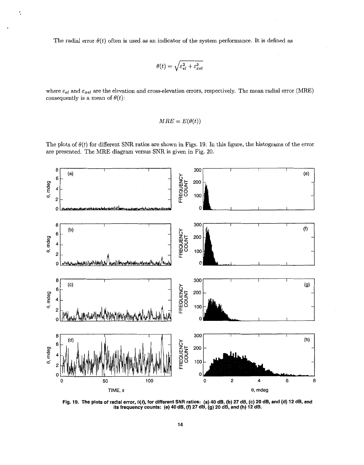The radial error  $\theta(t)$  often is used as an indicator of the system performance. It is defined as

t.

$$
\theta(t) = \sqrt{\varepsilon_{el}^2 + \varepsilon_{xel}^2}
$$

where  $\varepsilon_{el}$  and  $\varepsilon_{xel}$  are the elevation and cross-elevation errors, respectively. The mean radial error (MRE) consequently is a mean of  $\theta(t)$ :

$$
MRE = E(\theta(t))
$$

The plots of  $\theta(t)$  for different SNR ratios are shown in Figs. 19. In this figure, the histograms of the error are presented. The MRE diagram versus SNR is given in [Fig. 20.](#page-15-0)



**Fig. 19. The plots of radial error, e(f), for different SNR ratios: (a) 40 dB, (b) 27 dB,** *(c)* **20 dB, and (d) 12 dB, and its frequency counts: (e) 40 dB, (9 27 dB, (9) 20 dB, and (h) 12 dB.**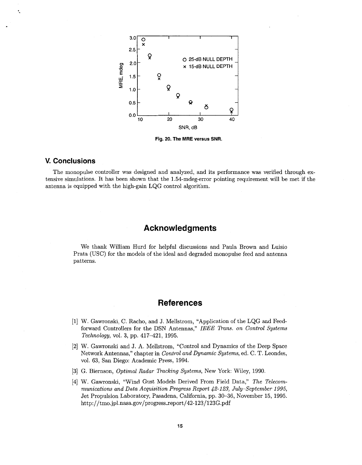<span id="page-15-0"></span>

**Fig. 20. The MRE versus SNR.** 

## **V. Conclusions**

The monopulse controller was designed and analyzed, and its performance was verified through extensive simulations. It has been shown that the 1.54-mdeg-error pointing requirement will be met if the antenna is equipped with the high-gain LQG control algorithm.

# **Acknowledgments**

We thank William Hurd for helpful discussions and Paula Brown and Luisio Prata (USC) for the models of the ideal and degraded monopulse feed and antenna patterns.

# **References**

- [l] W. Gawronski, C. Racho, and J. Mellstrom, "Application of the LQG and Feedforward Controllers for the DSN Antennas," *IEEE Trans. on Control Systems Technology,* vol. **3,** pp. 417-421, 1995.
- *[2]* W. Gawronski and J. A. Mellstrom, "Control and Dynamics of the Deep Space Network Antennas," chapter in *Control and Dynamic Systems,* ed. C. T. Leondes, vol. **63,** San Diego: Academic Press, 1994.
- **[3]** G. Biernson, *Optimal Radar Tracking Systems,* New York: Wiley, 1990.
- [4] W. Gawronski, "Wind Gust Models Derived From Field Data," *The Telecommunications and Data Acquisition Progress Report 42-123, July-September 1995,*  Jet Propulsion Laboratory, Pasadena, California, pp. **30-36,** November 15, 1995. http://tmo.jpl.nasa.gov/progress\_report/42-123/123G.pdf